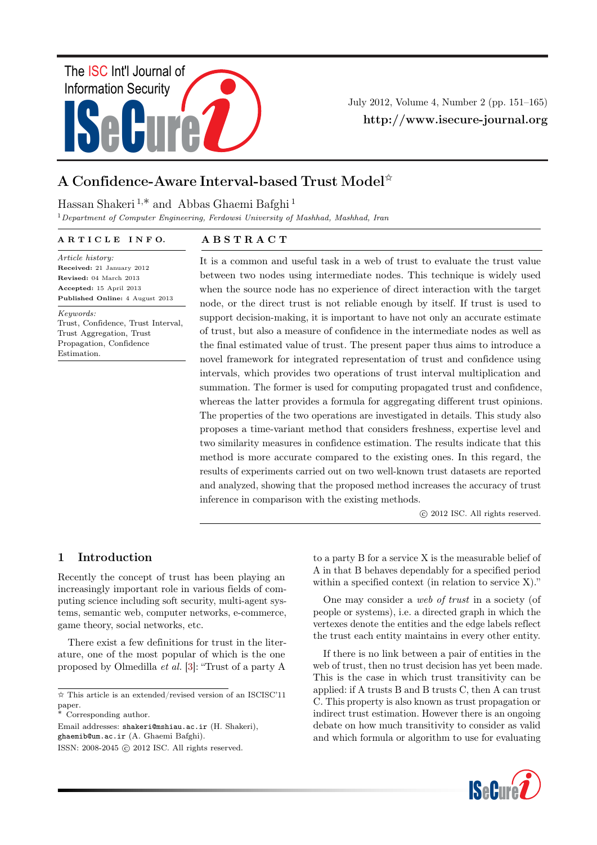

July 2012, Volume 4, Number 2 (pp. 151–165) http://www.isecure-journal.org

# A Confidence-Aware Interval-based Trust Model $^\star$

## Hassan Shakeri <sup>1</sup>,∗ and Abbas Ghaemi Bafghi <sup>1</sup>

 $1$ Department of Computer Engineering, Ferdowsi University of Mashhad, Mashhad, Iran

#### ARTICLE INFO.

A B S T R A C T

Article history: Received: 21 January 2012 Revised: 04 March 2013 Accepted: 15 April 2013 Published Online: 4 August 2013

Keywords:

Trust, Confidence, Trust Interval, Trust Aggregation, Trust Propagation, Confidence Estimation.

It is a common and useful task in a web of trust to evaluate the trust value between two nodes using intermediate nodes. This technique is widely used when the source node has no experience of direct interaction with the target node, or the direct trust is not reliable enough by itself. If trust is used to support decision-making, it is important to have not only an accurate estimate of trust, but also a measure of confidence in the intermediate nodes as well as the final estimated value of trust. The present paper thus aims to introduce a novel framework for integrated representation of trust and confidence using intervals, which provides two operations of trust interval multiplication and summation. The former is used for computing propagated trust and confidence, whereas the latter provides a formula for aggregating different trust opinions. The properties of the two operations are investigated in details. This study also proposes a time-variant method that considers freshness, expertise level and two similarity measures in confidence estimation. The results indicate that this method is more accurate compared to the existing ones. In this regard, the results of experiments carried out on two well-known trust datasets are reported and analyzed, showing that the proposed method increases the accuracy of trust inference in comparison with the existing methods.

c 2012 ISC. All rights reserved.

### 1 Introduction

Recently the concept of trust has been playing an increasingly important role in various fields of computing science including soft security, multi-agent systems, semantic web, computer networks, e-commerce, game theory, social networks, etc.

There exist a few definitions for trust in the literature, one of the most popular of which is the one proposed by Olmedilla et al. [\[3\]](#page-12-0): "Trust of a party A

Email addresses: shakeri@mshiau.ac.ir (H. Shakeri),

to a party B for a service X is the measurable belief of A in that B behaves dependably for a specified period within a specified context (in relation to service X)."

One may consider a web of trust in a society (of people or systems), i.e. a directed graph in which the vertexes denote the entities and the edge labels reflect the trust each entity maintains in every other entity.

If there is no link between a pair of entities in the web of trust, then no trust decision has yet been made. This is the case in which trust transitivity can be applied: if A trusts B and B trusts C, then A can trust C. This property is also known as trust propagation or indirect trust estimation. However there is an ongoing debate on how much transitivity to consider as valid and which formula or algorithm to use for evaluating



<sup>✩</sup> This article is an extended/revised version of an ISCISC'11 paper.

<sup>∗</sup> Corresponding author.

ghaemib@um.ac.ir (A. Ghaemi Bafghi).

ISSN: 2008-2045 © 2012 ISC. All rights reserved.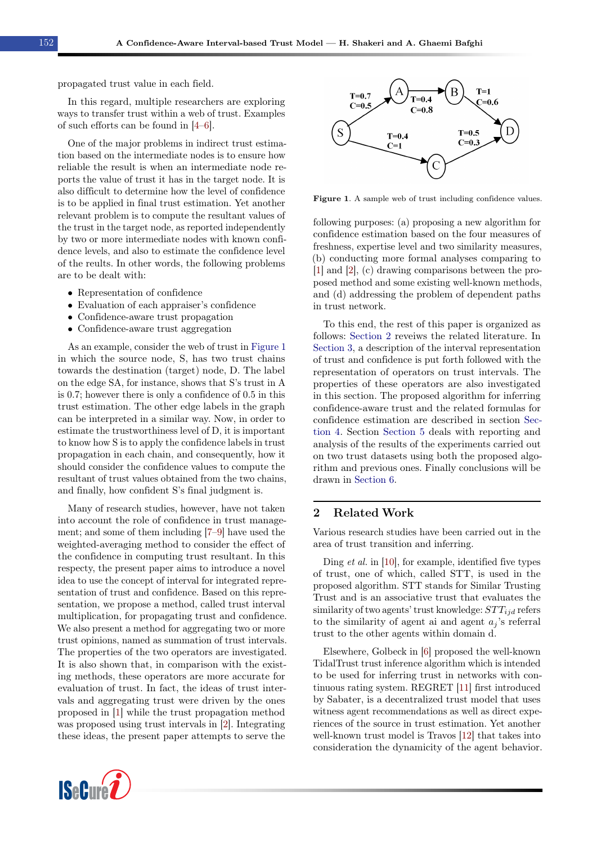propagated trust value in each field.

In this regard, multiple researchers are exploring ways to transfer trust within a web of trust. Examples of such efforts can be found in [\[4–](#page-12-1)[6\]](#page-12-2).

One of the major problems in indirect trust estimation based on the intermediate nodes is to ensure how reliable the result is when an intermediate node reports the value of trust it has in the target node. It is also difficult to determine how the level of confidence is to be applied in final trust estimation. Yet another relevant problem is to compute the resultant values of the trust in the target node, as reported independently by two or more intermediate nodes with known confidence levels, and also to estimate the confidence level of the reults. In other words, the following problems are to be dealt with:

- Representation of confidence
- Evaluation of each appraiser's confidence
- Confidence-aware trust propagation
- Confidence-aware trust aggregation

As an example, consider the web of trust in [Figure 1](#page-1-0) in which the source node, S, has two trust chains towards the destination (target) node, D. The label on the edge SA, for instance, shows that S's trust in A is 0.7; however there is only a confidence of 0.5 in this trust estimation. The other edge labels in the graph can be interpreted in a similar way. Now, in order to estimate the trustworthiness level of D, it is important to know how S is to apply the confidence labels in trust propagation in each chain, and consequently, how it should consider the confidence values to compute the resultant of trust values obtained from the two chains, and finally, how confident S's final judgment is.

Many of research studies, however, have not taken into account the role of confidence in trust management; and some of them including [\[7–](#page-12-3)[9\]](#page-13-0) have used the weighted-averaging method to consider the effect of the confidence in computing trust resultant. In this respecty, the present paper aims to introduce a novel idea to use the concept of interval for integrated representation of trust and confidence. Based on this representation, we propose a method, called trust interval multiplication, for propagating trust and confidence. We also present a method for aggregating two or more trust opinions, named as summation of trust intervals. The properties of the two operators are investigated. It is also shown that, in comparison with the existing methods, these operators are more accurate for evaluation of trust. In fact, the ideas of trust intervals and aggregating trust were driven by the ones proposed in [\[1\]](#page-12-4) while the trust propagation method was proposed using trust intervals in [\[2\]](#page-12-5). Integrating these ideas, the present paper attempts to serve the



<span id="page-1-0"></span>

Figure 1. A sample web of trust including confidence values.

following purposes: (a) proposing a new algorithm for confidence estimation based on the four measures of freshness, expertise level and two similarity measures, (b) conducting more formal analyses comparing to [\[1\]](#page-12-4) and [\[2\]](#page-12-5), (c) drawing comparisons between the proposed method and some existing well-known methods, and (d) addressing the problem of dependent paths in trust network.

To this end, the rest of this paper is organized as follows: [Section 2](#page-1-1) reveiws the related literature. In [Section 3,](#page-3-0) a description of the interval representation of trust and confidence is put forth followed with the representation of operators on trust intervals. The properties of these operators are also investigated in this section. The proposed algorithm for inferring confidence-aware trust and the related formulas for confidence estimation are described in section [Sec](#page-8-0)[tion 4.](#page-8-0) Section [Section 5](#page-10-0) deals with reporting and analysis of the results of the experiments carried out on two trust datasets using both the proposed algorithm and previous ones. Finally conclusions will be drawn in [Section 6.](#page-12-6)

### <span id="page-1-1"></span>2 Related Work

Various research studies have been carried out in the area of trust transition and inferring.

Ding et al. in [\[10\]](#page-13-1), for example, identified five types of trust, one of which, called STT, is used in the proposed algorithm. STT stands for Similar Trusting Trust and is an associative trust that evaluates the similarity of two agents' trust knowledge:  $STT_{iid}$  refers to the similarity of agent ai and agent  $a_i$ 's referral trust to the other agents within domain d.

Elsewhere, Golbeck in [\[6\]](#page-12-2) proposed the well-known TidalTrust trust inference algorithm which is intended to be used for inferring trust in networks with continuous rating system. REGRET [\[11\]](#page-13-2) first introduced by Sabater, is a decentralized trust model that uses witness agent recommendations as well as direct experiences of the source in trust estimation. Yet another well-known trust model is Travos [\[12\]](#page-13-3) that takes into consideration the dynamicity of the agent behavior.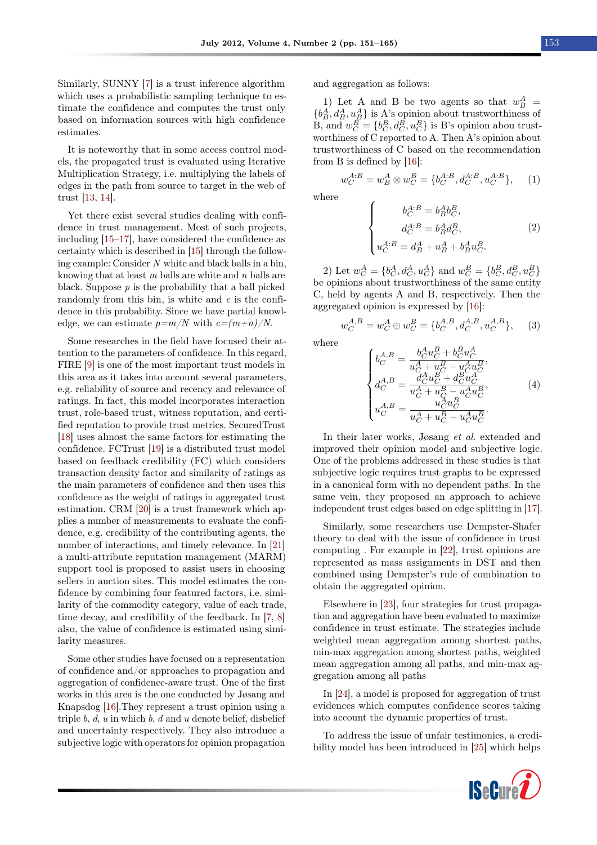Similarly, SUNNY [\[7\]](#page-12-3) is a trust inference algorithm which uses a probabilistic sampling technique to estimate the confidence and computes the trust only based on information sources with high confidence estimates.

It is noteworthy that in some access control models, the propagated trust is evaluated using Iterative Multiplication Strategy, i.e. multiplying the labels of edges in the path from source to target in the web of trust [\[13,](#page-13-4) [14\]](#page-13-5).

Yet there exist several studies dealing with confidence in trust management. Most of such projects, including [\[15–](#page-13-6)[17\]](#page-13-7), have considered the confidence as certainty which is described in [\[15\]](#page-13-6) through the following example: Consider N white and black balls in a bin, knowing that at least  $m$  balls are white and  $n$  balls are black. Suppose  $p$  is the probability that a ball picked randomly from this bin, is white and  $c$  is the confidence in this probability. Since we have partial knowledge, we can estimate  $p=m/N$  with  $c=(m+n)/N$ .

Some researches in the field have focused their attention to the parameters of confidence. In this regard, FIRE [\[9\]](#page-13-0) is one of the most important trust models in this area as it takes into account several parameters, e.g. reliability of source and recency and relevance of ratings. In fact, this model incorporates interaction trust, role-based trust, witness reputation, and certified reputation to provide trust metrics. SecuredTrust [\[18\]](#page-13-8) uses almost the same factors for estimating the confidence. FCTrust [\[19\]](#page-13-9) is a distributed trust model based on feedback credibility (FC) which considers transaction density factor and similarity of ratings as the main parameters of confidence and then uses this confidence as the weight of ratings in aggregated trust estimation. CRM [\[20\]](#page-13-10) is a trust framework which applies a number of measurements to evaluate the confidence, e.g. credibility of the contributing agents, the number of interactions, and timely relevance. In [\[21\]](#page-13-11) a multi-attribute reputation management (MARM) support tool is proposed to assist users in choosing sellers in auction sites. This model estimates the confidence by combining four featured factors, i.e. similarity of the commodity category, value of each trade, time decay, and credibility of the feedback. In [\[7,](#page-12-3) [8\]](#page-13-12) also, the value of confidence is estimated using similarity measures.

Some other studies have focused on a representation of confidence and/or approaches to propagation and aggregation of confidence-aware trust. One of the first works in this area is the one conducted by Jøsang and Knapsdog [\[16\]](#page-13-13).They represent a trust opinion using a triple  $b, d, u$  in which  $b, d$  and  $u$  denote belief, disbelief and uncertainty respectively. They also introduce a subjective logic with operators for opinion propagation and aggregation as follows:

1) Let A and B be two agents so that  $w_B^A$  =  ${b_B^A, d_B^A, u_B^A}$  is A's opinion about trustworthiness of B, and  $w_C^B = \{b_C^B, d_C^B, u_C^B\}$  is B's opinion abou trustworthiness of C reported to A. Then A's opinion about trustworthiness of C based on the recommendation from B is defined by [\[16\]](#page-13-13):

$$
w_C^{A:B} = w_B^A \otimes w_C^B = \{b_C^{A:B}, d_C^{A:B}, u_C^{A:B}\}, \quad (1)
$$

where

<span id="page-2-0"></span>
$$
\begin{cases}\n b_C^{A:B} = b_B^A b_C^B, \\
 d_C^{A:B} = b_B^A d_C^B, \\
 u_C^{A:B} = d_B^A + u_B^A + b_B^A u_C^B.\n\end{cases} (2)
$$

2) Let  $w_C^A = \{b_C^A, d_C^A, u_C^A\}$  and  $w_C^B = \{b_C^B, d_C^B, u_C^B\}$ be opinions about trustworthiness of the same entity C, held by agents A and B, respectively. Then the aggregated opinion is expressed by [\[16\]](#page-13-13):

$$
w_C^{A,B} = w_C^A \oplus w_C^B = \{b_C^{A,B}, d_C^{A,B}, u_C^{A,B}\},\qquad(3)
$$

where

<span id="page-2-1"></span>
$$
\begin{cases}\nb_C^{A,B} = \frac{b_C^A u_C^B + b_C^B u_C^A}{u_C^A + u_C^B - u_C^A u_C^B},\\
d_C^{A,B} = \frac{d_C^A u_C^B + d_C^B u_C^A}{u_C^A + u_C^B - u_C^A u_C^B},\\
u_C^{A,B} = \frac{u_C^A u_C^B}{u_C^A + u_C^B - u_C^A u_C^B}.\n\end{cases} \tag{4}
$$

In their later works, Jøsang et al. extended and improved their opinion model and subjective logic. One of the problems addressed in these studies is that subjective logic requires trust graphs to be expressed in a canonical form with no dependent paths. In the same vein, they proposed an approach to achieve independent trust edges based on edge splitting in [\[17\]](#page-13-7).

Similarly, some researchers use Dempster-Shafer theory to deal with the issue of confidence in trust computing . For example in [\[22\]](#page-13-14), trust opinions are represented as mass assignments in DST and then combined using Dempster's rule of combination to obtain the aggregated opinion.

Elsewhere in [\[23\]](#page-13-15), four strategies for trust propagation and aggregation have been evaluated to maximize confidence in trust estimate. The strategies include weighted mean aggregation among shortest paths, min-max aggregation among shortest paths, weighted mean aggregation among all paths, and min-max aggregation among all paths

In [\[24\]](#page-13-16), a model is proposed for aggregation of trust evidences which computes confidence scores taking into account the dynamic properties of trust.

To address the issue of unfair testimonies, a credibility model has been introduced in [\[25\]](#page-13-17) which helps

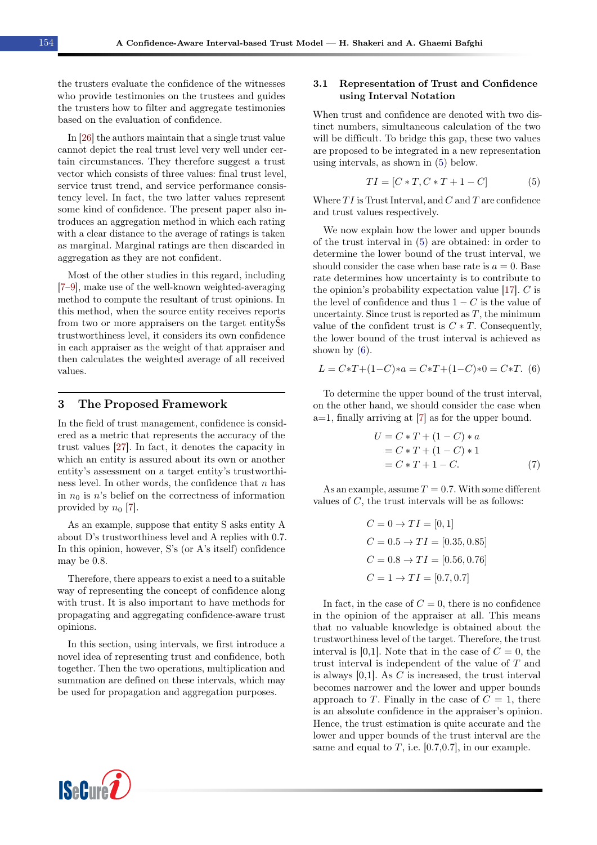the trusters evaluate the confidence of the witnesses who provide testimonies on the trustees and guides the trusters how to filter and aggregate testimonies based on the evaluation of confidence.

In [\[26\]](#page-13-18) the authors maintain that a single trust value cannot depict the real trust level very well under certain circumstances. They therefore suggest a trust vector which consists of three values: final trust level, service trust trend, and service performance consistency level. In fact, the two latter values represent some kind of confidence. The present paper also introduces an aggregation method in which each rating with a clear distance to the average of ratings is taken as marginal. Marginal ratings are then discarded in aggregation as they are not confident.

Most of the other studies in this regard, including [\[7](#page-12-3)[–9\]](#page-13-0), make use of the well-known weighted-averaging method to compute the resultant of trust opinions. In this method, when the source entity receives reports from two or more appraisers on the target entityŠs trustworthiness level, it considers its own confidence in each appraiser as the weight of that appraiser and then calculates the weighted average of all received values.

### <span id="page-3-0"></span>3 The Proposed Framework

In the field of trust management, confidence is considered as a metric that represents the accuracy of the trust values [\[27\]](#page-13-19). In fact, it denotes the capacity in which an entity is assured about its own or another entity's assessment on a target entity's trustworthiness level. In other words, the confidence that  $n$  has in  $n_0$  is n's belief on the correctness of information provided by  $n_0$  [\[7\]](#page-12-3).

As an example, suppose that entity S asks entity A about D's trustworthiness level and A replies with 0.7. In this opinion, however, S's (or A's itself) confidence may be 0.8.

Therefore, there appears to exist a need to a suitable way of representing the concept of confidence along with trust. It is also important to have methods for propagating and aggregating confidence-aware trust opinions.

In this section, using intervals, we first introduce a novel idea of representing trust and confidence, both together. Then the two operations, multiplication and summation are defined on these intervals, which may be used for propagation and aggregation purposes.

#### 3.1 Representation of Trust and Confidence using Interval Notation

When trust and confidence are denoted with two distinct numbers, simultaneous calculation of the two will be difficult. To bridge this gap, these two values are proposed to be integrated in a new representation using intervals, as shown in [\(5\)](#page-3-1) below.

<span id="page-3-1"></span>
$$
TI = [C * T, C * T + 1 - C]
$$
 (5)

Where  $TI$  is Trust Interval, and  $C$  and  $T$  are confidence and trust values respectively.

We now explain how the lower and upper bounds of the trust interval in [\(5\)](#page-3-1) are obtained: in order to determine the lower bound of the trust interval, we should consider the case when base rate is  $a = 0$ . Base rate determines how uncertainty is to contribute to the opinion's probability expectation value [\[17\]](#page-13-7). C is the level of confidence and thus  $1 - C$  is the value of uncertainty. Since trust is reported as  $T$ , the minimum value of the confident trust is  $C * T$ . Consequently, the lower bound of the trust interval is achieved as shown by  $(6)$ .

<span id="page-3-2"></span>
$$
L = C \cdot T + (1 - C) \cdot a = C \cdot T + (1 - C) \cdot 0 = C \cdot T.
$$
 (6)

To determine the upper bound of the trust interval, on the other hand, we should consider the case when a=1, finally arriving at [\[7\]](#page-12-3) as for the upper bound.

<span id="page-3-3"></span>
$$
U = C * T + (1 - C) * a
$$
  
= C \* T + (1 - C) \* 1  
= C \* T + 1 - C. (7)

As an example, assume  $T = 0.7$ . With some different values of C, the trust intervals will be as follows:

$$
C = 0 \rightarrow TI = [0, 1]
$$
  
\n
$$
C = 0.5 \rightarrow TI = [0.35, 0.85]
$$
  
\n
$$
C = 0.8 \rightarrow TI = [0.56, 0.76]
$$
  
\n
$$
C = 1 \rightarrow TI = [0.7, 0.7]
$$

In fact, in the case of  $C = 0$ , there is no confidence in the opinion of the appraiser at all. This means that no valuable knowledge is obtained about the trustworthiness level of the target. Therefore, the trust interval is [0,1]. Note that in the case of  $C = 0$ , the trust interval is independent of the value of T and is always  $[0,1]$ . As C is increased, the trust interval becomes narrower and the lower and upper bounds approach to T. Finally in the case of  $C = 1$ , there is an absolute confidence in the appraiser's opinion. Hence, the trust estimation is quite accurate and the lower and upper bounds of the trust interval are the same and equal to  $T$ , i.e. [0.7,0.7], in our example.

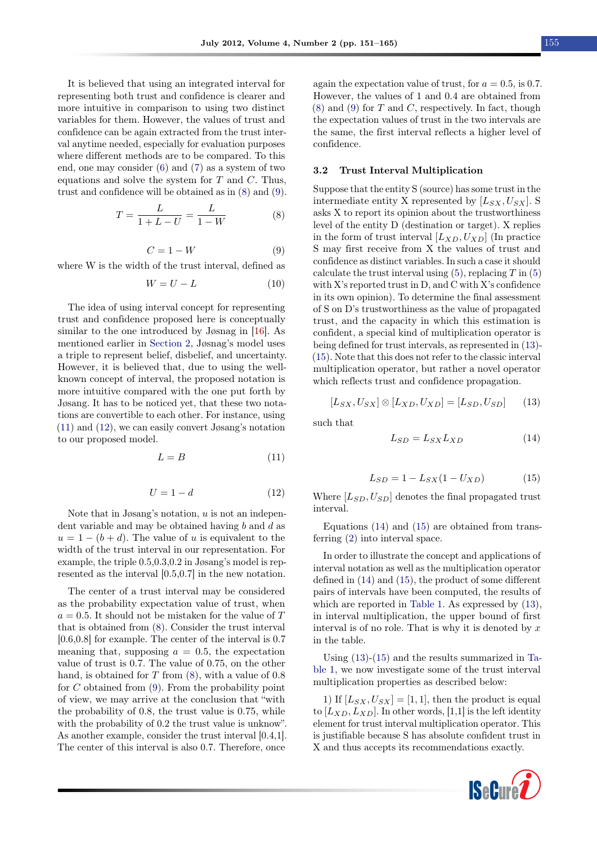It is believed that using an integrated interval for representing both trust and confidence is clearer and more intuitive in comparison to using two distinct variables for them. However, the values of trust and confidence can be again extracted from the trust interval anytime needed, especially for evaluation purposes where different methods are to be compared. To this end, one may consider [\(6\)](#page-3-2) and [\(7\)](#page-3-3) as a system of two equations and solve the system for  $T$  and  $C$ . Thus, trust and confidence will be obtained as in [\(8\)](#page-4-0) and [\(9\)](#page-4-1).

<span id="page-4-0"></span>
$$
T = \frac{L}{1 + L - U} = \frac{L}{1 - W}
$$
 (8)

<span id="page-4-1"></span>
$$
C = 1 - W \tag{9}
$$

where W is the width of the trust interval, defined as

$$
W = U - L \tag{10}
$$

The idea of using interval concept for representing trust and confidence proposed here is conceptually similar to the one introduced by Jøsnag in [\[16\]](#page-13-13). As mentioned earlier in [Section 2,](#page-1-1) Jøsnag's model uses a triple to represent belief, disbelief, and uncertainty. However, it is believed that, due to using the wellknown concept of interval, the proposed notation is more intuitive compared with the one put forth by Jøsang. It has to be noticed yet, that these two notations are convertible to each other. For instance, using [\(11\)](#page-4-2) and [\(12\)](#page-4-3), we can easily convert Jøsang's notation to our proposed model.

<span id="page-4-2"></span>
$$
L = B \tag{11}
$$

<span id="page-4-3"></span>
$$
U = 1 - d \tag{12}
$$

Note that in J $\alpha$ sang's notation, u is not an independent variable and may be obtained having  $b$  and  $d$  as  $u = 1 - (b + d)$ . The value of u is equivalent to the width of the trust interval in our representation. For example, the triple 0.5,0.3,0.2 in Jøsang's model is represented as the interval [0.5,0.7] in the new notation.

The center of a trust interval may be considered as the probability expectation value of trust, when  $a = 0.5$ . It should not be mistaken for the value of T that is obtained from [\(8\)](#page-4-0). Consider the trust interval [0.6,0.8] for example. The center of the interval is 0.7 meaning that, supposing  $a = 0.5$ , the expectation value of trust is 0.7. The value of 0.75, on the other hand, is obtained for  $T$  from  $(8)$ , with a value of 0.8 for  $C$  obtained from  $(9)$ . From the probability point of view, we may arrive at the conclusion that "with the probability of 0.8, the trust value is 0.75, while with the probability of  $0.2$  the trust value is unknow". As another example, consider the trust interval [0.4,1]. The center of this interval is also 0.7. Therefore, once

again the expectation value of trust, for  $a = 0.5$ , is 0.7. However, the values of 1 and 0.4 are obtained from  $(8)$  and  $(9)$  for T and C, respectively. In fact, though the expectation values of trust in the two intervals are the same, the first interval reflects a higher level of confidence.

#### 3.2 Trust Interval Multiplication

Suppose that the entity S (source) has some trust in the intermediate entity X represented by  $[L_{SX}, U_{SX}]$ . S asks X to report its opinion about the trustworthiness level of the entity D (destination or target). X replies in the form of trust interval  $[L_{XD}, U_{XD}]$  (In practice S may first receive from X the values of trust and confidence as distinct variables. In such a case it should calculate the trust interval using  $(5)$ , replacing T in  $(5)$ with X's reported trust in D, and C with X's confidence in its own opinion). To determine the final assessment of S on D's trustworthiness as the value of propagated trust, and the capacity in which this estimation is confident, a special kind of multiplication operator is being defined for trust intervals, as represented in [\(13\)](#page-4-4)- [\(15\)](#page-4-5). Note that this does not refer to the classic interval multiplication operator, but rather a novel operator which reflects trust and confidence propagation.

<span id="page-4-4"></span>
$$
[L_{SX}, U_{SX}] \otimes [L_{XD}, U_{XD}] = [L_{SD}, U_{SD}] \qquad (13)
$$

such that

<span id="page-4-6"></span>
$$
L_{SD} = L_{SX} L_{XD} \tag{14}
$$

<span id="page-4-5"></span>
$$
L_{SD} = 1 - L_{SX}(1 - U_{XD})
$$
 (15)

Where  $[L_{SD}, U_{SD}]$  denotes the final propagated trust interval.

Equations [\(14\)](#page-4-6) and [\(15\)](#page-4-5) are obtained from transferring [\(2\)](#page-2-0) into interval space.

In order to illustrate the concept and applications of interval notation as well as the multiplication operator defined in [\(14\)](#page-4-6) and [\(15\)](#page-4-5), the product of some different pairs of intervals have been computed, the results of which are reported in [Table 1.](#page-5-0) As expressed by [\(13\)](#page-4-4), in interval multiplication, the upper bound of first interval is of no role. That is why it is denoted by  $x$ in the table.

Using [\(13\)](#page-4-4)-[\(15\)](#page-4-5) and the results summarized in [Ta](#page-5-0)[ble 1,](#page-5-0) we now investigate some of the trust interval multiplication properties as described below:

1) If  $[L_{SX}, U_{SX}] = [1, 1]$ , then the product is equal to  $[L_{XD}, L_{XD}]$ . In other words, [1,1] is the left identity element for trust interval multiplication operator. This is justifiable because S has absolute confident trust in X and thus accepts its recommendations exactly.

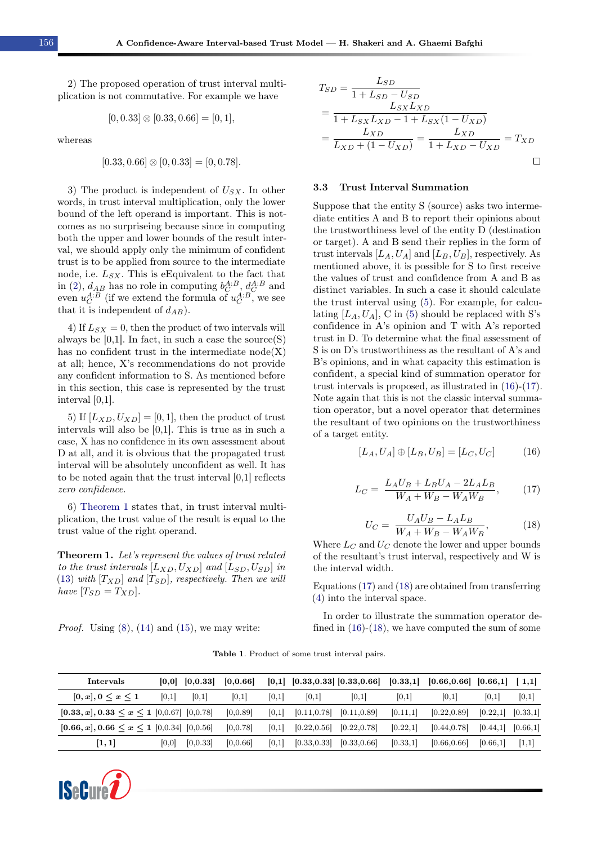2) The proposed operation of trust interval multiplication is not commutative. For example we have

<span id="page-5-2"></span>
$$
[0, 0.33] \otimes [0.33, 0.66] = [0, 1],
$$

whereas

$$
[0.33, 0.66] \otimes [0, 0.33] = [0, 0.78].
$$

3) The product is independent of  $U_{SX}$ . In other words, in trust interval multiplication, only the lower bound of the left operand is important. This is notcomes as no surpriseing because since in computing both the upper and lower bounds of the result interval, we should apply only the minimum of confident trust is to be applied from source to the intermediate node, i.e.  $L_{SX}$ . This is eEquivalent to the fact that in [\(2\)](#page-2-0),  $d_{AB}$  has no role in computing  $b_C^{A:B}$ ,  $d_C^{A:B}$  and even  $u_C^{A:B}$  (if we extend the formula of  $u_C^{A:B}$ , we see that it is independent of  $d_{AB}$ ).

4) If  $L_{SX} = 0$ , then the product of two intervals will always be  $[0,1]$ . In fact, in such a case the source  $(S)$ has no confident trust in the intermediate  $node(X)$ at all; hence, X's recommendations do not provide any confident information to S. As mentioned before in this section, this case is represented by the trust interval [0,1].

5) If  $[L_{XD}, U_{XD}] = [0, 1]$ , then the product of trust intervals will also be [0,1]. This is true as in such a case, X has no confidence in its own assessment about D at all, and it is obvious that the propagated trust interval will be absolutely unconfident as well. It has to be noted again that the trust interval [0,1] reflects zero confidence.

6) [Theorem 1](#page-5-1) states that, in trust interval multiplication, the trust value of the result is equal to the trust value of the right operand.

<span id="page-5-1"></span>Theorem 1. Let's represent the values of trust related to the trust intervals  $[L_{XD}, U_{XD}]$  and  $[L_{SD}, U_{SD}]$  in [\(13\)](#page-4-4) with  $[T_{XD}]$  and  $[T_{SD}]$ , respectively. Then we will have  $[T_{SD} = T_{XD}].$ 

<span id="page-5-0"></span>*Proof.* Using  $(8)$ ,  $(14)$  and  $(15)$ , we may write:

$$
T_{SD} = \frac{L_{SD}}{1 + L_{SD} - U_{SD}}
$$
  
= 
$$
\frac{L_{SX}L_{XD}}{1 + L_{SX}L_{XD} - 1 + L_{SX}(1 - U_{XD})}
$$
  
= 
$$
\frac{L_{XD}}{L_{XD} + (1 - U_{XD})} = \frac{L_{XD}}{1 + L_{XD} - U_{XD}} = T_{XD}
$$

#### 3.3 Trust Interval Summation

Suppose that the entity S (source) asks two intermediate entities A and B to report their opinions about the trustworthiness level of the entity D (destination or target). A and B send their replies in the form of trust intervals  $[L_A, U_A]$  and  $[L_B, U_B]$ , respectively. As mentioned above, it is possible for S to first receive the values of trust and confidence from A and B as distinct variables. In such a case it should calculate the trust interval using [\(5\)](#page-3-1). For example, for calculating  $[L_A, U_A]$ , C in [\(5\)](#page-3-1) should be replaced with S's confidence in A's opinion and T with A's reported trust in D. To determine what the final assessment of S is on D's trustworthiness as the resultant of A's and B's opinions, and in what capacity this estimation is confident, a special kind of summation operator for trust intervals is proposed, as illustrated in [\(16\)](#page-5-2)-[\(17\)](#page-5-3). Note again that this is not the classic interval summation operator, but a novel operator that determines the resultant of two opinions on the trustworthiness of a target entity.

$$
[L_A, U_A] \oplus [L_B, U_B] = [L_C, U_C] \tag{16}
$$

<span id="page-5-3"></span>
$$
L_C = \frac{L_A U_B + L_B U_A - 2L_A L_B}{W_A + W_B - W_A W_B},
$$
 (17)

<span id="page-5-4"></span>
$$
U_C = \frac{U_A U_B - L_A L_B}{W_A + W_B - W_A W_B},
$$
(18)

Where  $L_C$  and  $U_C$  denote the lower and upper bounds of the resultant's trust interval, respectively and W is the interval width.

Equations [\(17\)](#page-5-3) and [\(18\)](#page-5-4) are obtained from transferring [\(4\)](#page-2-1) into the interval space.

In order to illustrate the summation operator defined in  $(16)-(18)$  $(16)-(18)$  $(16)-(18)$ , we have computed the sum of some

Table 1. Product of some trust interval pairs.

| Intervals                                                |       | $[0,0]$ $[0,0.33]$ | [0, 0.66] |       |              | $[0,1]$ $[0.33,0.33]$ $[0.33,0.66]$ | [0.33, 1] | $[0.66, 0.66]$ $[0.66, 1]$ $[1,1]$ |                       |           |
|----------------------------------------------------------|-------|--------------------|-----------|-------|--------------|-------------------------------------|-----------|------------------------------------|-----------------------|-----------|
| $[0, x], 0 \leq x \leq 1$                                | [0,1] | [0,1]              | [0,1]     | [0,1] | 0,1          | [0,1]                               | [0,1]     | [0,1]                              | [0,1]                 | [0,1]     |
| $[0.33, x]$ , $0.33 \leq x \leq 1$ $[0.0.67]$ $[0.0.78]$ |       |                    | [0.0.89]  | [0,1] | [0.11, 0.78] | [0.11, 0.89]                        | [0.11,1]  | [0.22, 0.89]                       | [0.22,1]              | [0.33, 1] |
| $[0.66, x]$ , $0.66 \le x \le 1$ $[0, 0.34]$ $[0, 0.56]$ |       |                    | [0,0.78]  | 0,1   | [0.22, 0.56] | [0.22, 0.78]                        | [0.22,1]  | [0.44, 0.78]                       | $[0.44,1]$ $[0.66,1]$ |           |
| $\left[1,1\right]$                                       | [0,0] | [0,0.33]           | [0, 0.66] | [0,1] | [0.33, 0.33] | [0.33, 0.66]                        | [0.33, 1] | [0.66, 0.66]                       | [0.66, 1]             | [1,1]     |

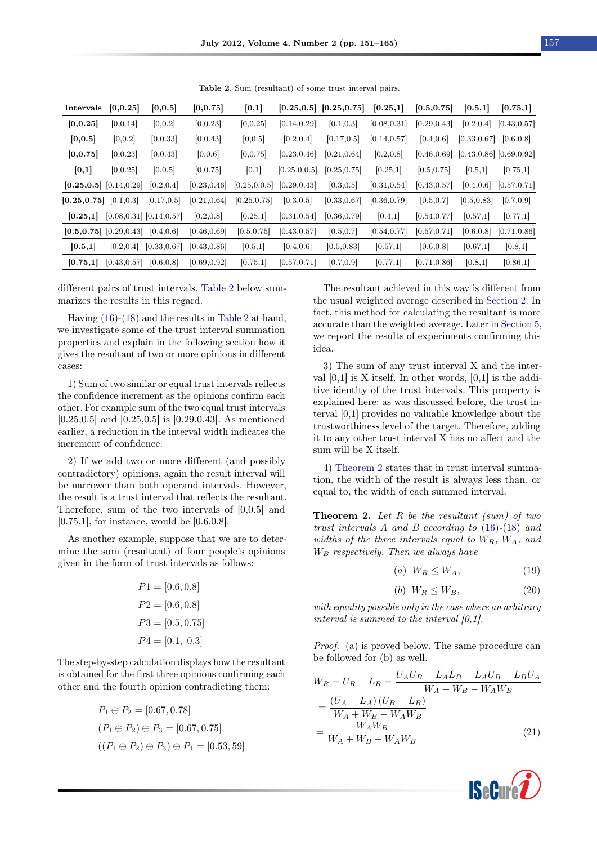<span id="page-6-0"></span>

| Intervals                    | [0, 0.25]    | [0, 0.5]                      | [0, 0.75]    | [0,1]         |               | $[0.25, 0.5]$ $[0.25, 0.75]$ | [0.25,1]     | [0.5, 0.75]  | [0.5,1]                       | [0.75,1]     |
|------------------------------|--------------|-------------------------------|--------------|---------------|---------------|------------------------------|--------------|--------------|-------------------------------|--------------|
| [0, 0.25]                    | [0, 0.14]    | [0,0.2]                       | [0, 0.23]    | [0, 0.25]     | [0.14, 0.29]  | [0.1, 0.3]                   | [0.08, 0.31] | [0.29, 0.43] | [0.2, 0.4]                    | [0.43, 0.57] |
| [0, 0.5]                     | [0,0.2]      | [0, 0.33]                     | [0, 0.43]    | [0, 0.5]      | [0.2, 0.4]    | [0.17, 0.5]                  | [0.14, 0.57] | [0.4, 0.6]   | [0.33, 0.67]                  | [0.6, 0.8]   |
| [0, 0.75]                    | [0, 0.23]    | [0, 0.43]                     | [0, 0.6]     | [0, 0.75]     | [0.23, 0.46]  | [0.21, 0.64]                 | [0.2, 0.8]   | [0.46, 0.69] | $[0.43, 0.86]$ $[0.69, 0.92]$ |              |
| [0,1]                        | [0, 0.25]    | [0,0.5]                       | [0, 0.75]    | [0,1]         | [0.25, 0.0.5] | [0.25, 0.75]                 | [0.25,1]     | [0.5, 0.75]  | [0.5,1]                       | [0.75,1]     |
| $[0.25, 0.5]$ $[0.14, 0.29]$ |              | [0.2, 0.4]                    | [0.23, 0.46] | [0.25, 0.0.5] | [0.29, 0.43]  | [0.3, 0.5]                   | [0.31, 0.54] | [0.43, 0.57] | [0.4, 0.6]                    | [0.57, 0.71] |
| [0.25, 0.75]                 | [0.1, 0.3]   | [0.17, 0.5]                   | [0.21, 0.64] | [0.25, 0.75]  | [0.3, 0.5]    | [0.33, 0.67]                 | [0.36, 0.79] | [0.5, 0.7]   | [0.5, 0.83]                   | [0.7, 0.9]   |
| [0.25,1]                     |              | $[0.08, 0.31]$ $[0.14, 0.57]$ | [0.2, 0.8]   | [0.25,1]      | [0.31, 0.54]  | [0.36, 0.79]                 | [0.4,1]      | [0.54, 0.77] | [0.57,1]                      | [0.77,1]     |
| $[0.5, 0.75]$ $[0.29, 0.43]$ |              | [0.4, 0.6]                    | [0.46, 0.69] | [0.5, 0.75]   | [0.43, 0.57]  | [0.5, 0.7]                   | [0.54, 0.77] | [0.57, 0.71] | [0.6, 0.8]                    | [0.71, 0.86] |
| [0.5,1]                      | [0.2, 0.4]   | [0.33, 0.67]                  | [0.43, 0.86] | [0.5,1]       | [0.4, 0.6]    | [0.5, 0.83]                  | [0.57,1]     | [0.6, 0.8]   | [0.67,1]                      | [0.8,1]      |
| [0.75,1]                     | [0.43, 0.57] | [0.6, 0.8]                    | [0.69, 0.92] | [0.75,1]      | [0.57, 0.71]  | [0.7, 0.9]                   | [0.77,1]     | [0.71, 0.86] | [0.8,1]                       | [0.86,1]     |

Table 2. Sum (resultant) of some trust interval pairs.

different pairs of trust intervals. [Table 2](#page-6-0) below summarizes the results in this regard.

Having [\(16\)](#page-5-2)-[\(18\)](#page-5-4) and the results in [Table 2](#page-6-0) at hand, we investigate some of the trust interval summation properties and explain in the following section how it gives the resultant of two or more opinions in different cases:

1) Sum of two similar or equal trust intervals reflects the confidence increment as the opinions confirm each other. For example sum of the two equal trust intervals [0.25,0.5] and [0.25,0.5] is [0.29,0.43]. As mentioned earlier, a reduction in the interval width indicates the increment of confidence.

2) If we add two or more different (and possibly contradictory) opinions, again the result interval will be narrower than both operand intervals. However, the result is a trust interval that reflects the resultant. Therefore, sum of the two intervals of [0,0.5] and [0.75,1], for instance, would be [0.6,0.8].

As another example, suppose that we are to determine the sum (resultant) of four people's opinions given in the form of trust intervals as follows:

$$
P1 = [0.6, 0.8]
$$

$$
P2 = [0.6, 0.8]
$$

$$
P3 = [0.5, 0.75]
$$

$$
P4 = [0.1, 0.3]
$$

The step-by-step calculation displays how the resultant is obtained for the first three opinions confirming each other and the fourth opinion contradicting them:

$$
P_1 \oplus P_2 = [0.67, 0.78]
$$
  
\n
$$
(P_1 \oplus P_2) \oplus P_3 = [0.67, 0.75]
$$
  
\n
$$
((P_1 \oplus P_2) \oplus P_3) \oplus P_4 = [0.53, 59]
$$

The resultant achieved in this way is different from the usual weighted average described in [Section 2.](#page-1-1) In fact, this method for calculating the resultant is more accurate than the weighted average. Later in [Section 5,](#page-10-0) we report the results of experiments confirming this idea.

3) The sum of any trust interval X and the interval  $[0,1]$  is X itself. In other words,  $[0,1]$  is the additive identity of the trust intervals. This property is explained here: as was discussed before, the trust interval [0,1] provides no valuable knowledge about the trustworthiness level of the target. Therefore, adding it to any other trust interval X has no affect and the sum will be X itself.

4) [Theorem 2](#page-6-1) states that in trust interval summation, the width of the result is always less than, or equal to, the width of each summed interval.

<span id="page-6-1"></span>**Theorem 2.** Let R be the resultant (sum) of two trust intervals A and B according to [\(16\)](#page-5-2)-[\(18\)](#page-5-4) and widths of the three intervals equal to  $W_R$ ,  $W_A$ , and  $\mathcal{W}_B$  respectively. Then we always have

$$
(a) \ W_R \le W_A,\tag{19}
$$

$$
(b) \ W_R \le W_B,\tag{20}
$$

with equality possible only in the case where an arbitrary interval is summed to the interval [0,1].

Proof. (a) is proved below. The same procedure can be followed for (b) as well.

$$
W_R = U_R - L_R = \frac{U_A U_B + L_A L_B - L_A U_B - L_B U_A}{W_A + W_B - W_A W_B}
$$
  
= 
$$
\frac{(U_A - L_A) (U_B - L_B)}{W_A + W_B - W_A W_B}
$$
  
= 
$$
\frac{W_A W_B}{W_A + W_B - W_A W_B}
$$
 (21)

<span id="page-6-2"></span>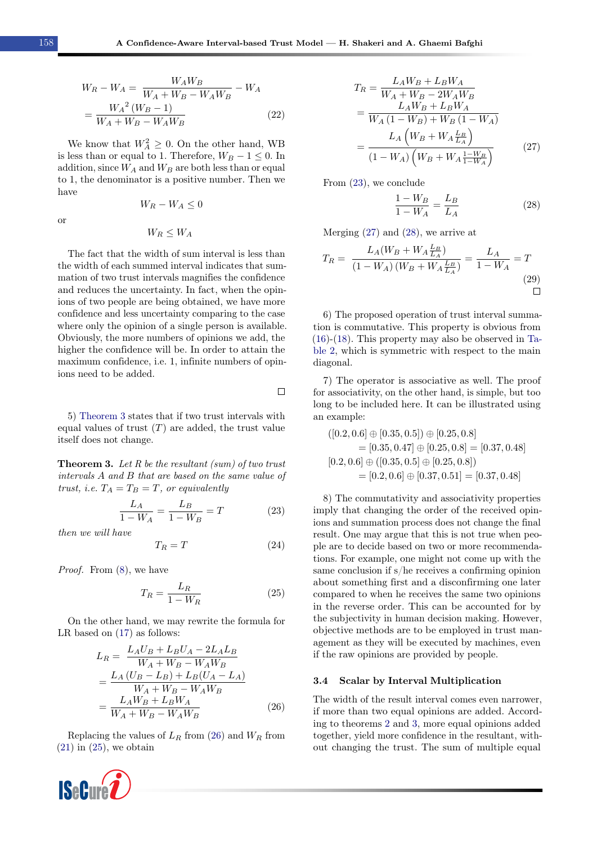$\Box$ 

$$
W_R - W_A = \frac{W_A W_B}{W_A + W_B - W_A W_B} - W_A
$$
  
= 
$$
\frac{W_A^2 (W_B - 1)}{W_A + W_B - W_A W_B}
$$
 (22)

We know that  $W_A^2 \geq 0$ . On the other hand, WB is less than or equal to 1. Therefore,  $W_B - 1 \leq 0$ . In addition, since  $W_A$  and  $W_B$  are both less than or equal to 1, the denominator is a positive number. Then we have

or

<span id="page-7-3"></span>
$$
W_R - W_A \le 0
$$

 $W_R \leq W_A$ 

The fact that the width of sum interval is less than the width of each summed interval indicates that summation of two trust intervals magnifies the confidence and reduces the uncertainty. In fact, when the opinions of two people are being obtained, we have more confidence and less uncertainty comparing to the case where only the opinion of a single person is available. Obviously, the more numbers of opinions we add, the higher the confidence will be. In order to attain the maximum confidence, i.e. 1, infinite numbers of opinions need to be added.

5) [Theorem 3](#page-7-0) states that if two trust intervals with equal values of trust  $(T)$  are added, the trust value itself does not change.

<span id="page-7-0"></span>**Theorem 3.** Let R be the resultant (sum) of two trust intervals A and B that are based on the same value of trust, i.e.  $T_A = T_B = T$ , or equivalently

$$
\frac{L_A}{1 - W_A} = \frac{L_B}{1 - W_B} = T
$$
 (23)

then we will have

$$
T_R = T \tag{24}
$$

Proof. From [\(8\)](#page-4-0), we have

<span id="page-7-2"></span>
$$
T_R = \frac{L_R}{1 - W_R} \tag{25}
$$

On the other hand, we may rewrite the formula for LR based on  $(17)$  as follows:

$$
L_R = \frac{L_A U_B + L_B U_A - 2L_A L_B}{W_A + W_B - W_A W_B}
$$
  
= 
$$
\frac{L_A (U_B - L_B) + L_B (U_A - L_A)}{W_A + W_B - W_A W_B}
$$
  
= 
$$
\frac{L_A W_B + L_B W_A}{W_A + W_B - W_A W_B}
$$
 (26)

Replacing the values of  $L_R$  from [\(26\)](#page-7-1) and  $W_R$  from  $(21)$  in  $(25)$ , we obtain



$$
T_R = \frac{L_A W_B + L_B W_A}{W_A + W_B - 2W_A W_B}
$$
  
= 
$$
\frac{L_A W_B + L_B W_A}{W_A (1 - W_B) + W_B (1 - W_A)}
$$
  
= 
$$
\frac{L_A (W_B + W_A \frac{L_B}{L_A})}{(1 - W_A) (W_B + W_A \frac{1 - W_B}{1 - W_A})}
$$
(27)

From [\(23\)](#page-7-3), we conclude

<span id="page-7-5"></span><span id="page-7-4"></span>
$$
\frac{1 - W_B}{1 - W_A} = \frac{L_B}{L_A} \tag{28}
$$

Merging [\(27\)](#page-7-4) and [\(28\)](#page-7-5), we arrive at

$$
T_R = \frac{L_A(W_B + W_A \frac{L_B}{L_A})}{(1 - W_A)(W_B + W_A \frac{L_B}{L_A})} = \frac{L_A}{1 - W_A} = T
$$
\n(29)

6) The proposed operation of trust interval summation is commutative. This property is obvious from [\(16\)](#page-5-2)-[\(18\)](#page-5-4). This property may also be observed in [Ta](#page-6-0)[ble 2,](#page-6-0) which is symmetric with respect to the main diagonal.

7) The operator is associative as well. The proof for associativity, on the other hand, is simple, but too long to be included here. It can be illustrated using an example:

$$
([0.2, 0.6] \oplus [0.35, 0.5]) \oplus [0.25, 0.8]
$$
  
= [0.35, 0.47]  $\oplus$  [0.25, 0.8] = [0.37, 0.48]  
[0.2, 0.6]  $\oplus$  ([0.35, 0.5]  $\oplus$  [0.25, 0.8])  
= [0.2, 0.6]  $\oplus$  [0.37, 0.51] = [0.37, 0.48]

8) The commutativity and associativity properties imply that changing the order of the received opinions and summation process does not change the final result. One may argue that this is not true when people are to decide based on two or more recommendations. For example, one might not come up with the same conclusion if s/he receives a confirming opinion about something first and a disconfirming one later compared to when he receives the same two opinions in the reverse order. This can be accounted for by the subjectivity in human decision making. However, objective methods are to be employed in trust management as they will be executed by machines, even if the raw opinions are provided by people.

#### 3.4 Scalar by Interval Multiplication

<span id="page-7-1"></span>The width of the result interval comes even narrower, if more than two equal opinions are added. According to theorems [2](#page-6-1) and [3,](#page-7-0) more equal opinions added together, yield more confidence in the resultant, without changing the trust. The sum of multiple equal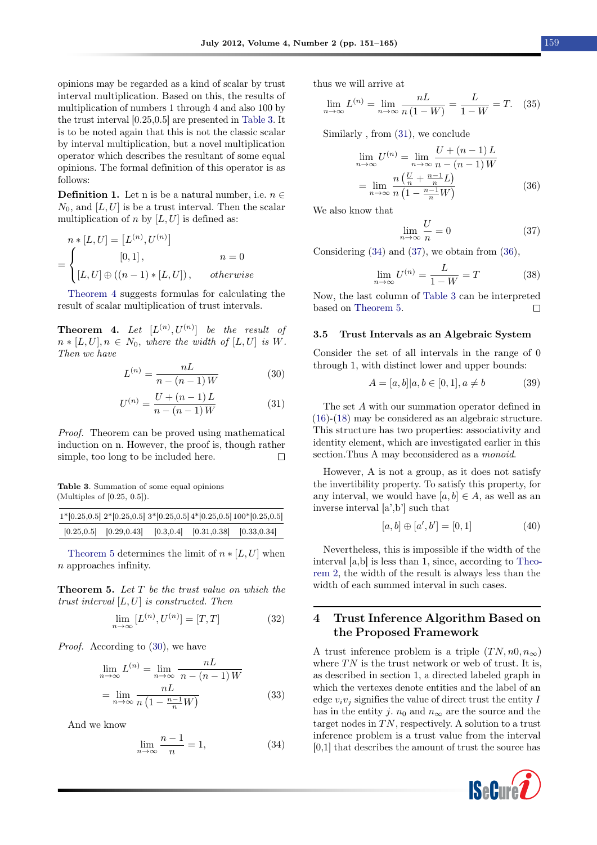opinions may be regarded as a kind of scalar by trust interval multiplication. Based on this, the results of multiplication of numbers 1 through 4 and also 100 by the trust interval [0.25,0.5] are presented in [Table 3.](#page-8-1) It is to be noted again that this is not the classic scalar by interval multiplication, but a novel multiplication operator which describes the resultant of some equal opinions. The formal definition of this operator is as follows:

**Definition 1.** Let n is be a natural number, i.e.  $n \in \mathbb{R}$  $N_0$ , and [L, U] is be a trust interval. Then the scalar multiplication of n by  $[L, U]$  is defined as:

$$
n * [L, U] = [L(n), U(n)]
$$
  
= 
$$
\begin{cases} [0, 1], & n = 0 \\ [L, U] \oplus ((n - 1) * [L, U]), & otherwise \end{cases}
$$

[Theorem 4](#page-8-2) suggests formulas for calculating the result of scalar multiplication of trust intervals.

<span id="page-8-2"></span>**Theorem 4.** Let  $[L^{(n)}, U^{(n)}]$  be the result of  $n * [L, U], n \in N_0$ , where the width of  $[L, U]$  is W. Then we have

<span id="page-8-4"></span>
$$
L^{(n)} = \frac{nL}{n - (n-1)W}
$$
 (30)

<span id="page-8-5"></span>
$$
U^{(n)} = \frac{U + (n-1)L}{n - (n-1)W}
$$
\n(31)

Proof. Theorem can be proved using mathematical induction on n. However, the proof is, though rather simple, too long to be included here.  $\Box$ 

<span id="page-8-1"></span>Table 3. Summation of some equal opinions (Multiples of [0.25, 0.5]).

|                                                                         |  | $1*[0.25, 0.5]$ $2*[0.25, 0.5]$ $3*[0.25, 0.5]$ $4*[0.25, 0.5]$ $100*[0.25, 0.5]$ |
|-------------------------------------------------------------------------|--|-----------------------------------------------------------------------------------|
| $[0.25, 0.5]$ $[0.29, 0.43]$ $[0.3, 0.4]$ $[0.31, 0.38]$ $[0.33, 0.34]$ |  |                                                                                   |

[Theorem 5](#page-8-3) determines the limit of  $n * [L, U]$  when n approaches infinity.

<span id="page-8-3"></span>**Theorem 5.** Let  $T$  be the trust value on which the trust interval  $[L, U]$  is constructed. Then

$$
\lim_{n \to \infty} [L^{(n)}, U^{(n)}] = [T, T]
$$
\n(32)

Proof. According to [\(30\)](#page-8-4), we have

$$
\lim_{n \to \infty} L^{(n)} = \lim_{n \to \infty} \frac{nL}{n - (n-1)W}
$$

$$
= \lim_{n \to \infty} \frac{nL}{n \left(1 - \frac{n-1}{n}W\right)} \tag{33}
$$

And we know

<span id="page-8-6"></span>
$$
\lim_{n \to \infty} \frac{n-1}{n} = 1,\tag{34}
$$

thus we will arrive at

$$
\lim_{n \to \infty} L^{(n)} = \lim_{n \to \infty} \frac{nL}{n(1 - W)} = \frac{L}{1 - W} = T. \tag{35}
$$

Similarly , from [\(31\)](#page-8-5), we conclude

$$
\lim_{n \to \infty} U^{(n)} = \lim_{n \to \infty} \frac{U + (n - 1)L}{n - (n - 1)W}
$$

$$
= \lim_{n \to \infty} \frac{n\left(\frac{U}{n} + \frac{n - 1}{n}L\right)}{n\left(1 - \frac{n - 1}{n}W\right)} \tag{36}
$$

We also know that

<span id="page-8-8"></span><span id="page-8-7"></span>
$$
\lim_{n \to \infty} \frac{U}{n} = 0 \tag{37}
$$

Considering [\(34\)](#page-8-6) and [\(37\)](#page-8-7), we obtain from [\(36\)](#page-8-8),

$$
\lim_{n \to \infty} U^{(n)} = \frac{L}{1 - W} = T \tag{38}
$$

Now, the last column of [Table 3](#page-8-1) can be interpreted based on [Theorem 5.](#page-8-3)  $\Box$ 

#### 3.5 Trust Intervals as an Algebraic System

Consider the set of all intervals in the range of 0 through 1, with distinct lower and upper bounds:

$$
A = [a, b] | a, b \in [0, 1], a \neq b \tag{39}
$$

The set A with our summation operator defined in [\(16\)](#page-5-2)-[\(18\)](#page-5-4) may be considered as an algebraic structure. This structure has two properties: associativity and identity element, which are investigated earlier in this section. Thus A may beconsidered as a *monoid*.

However, A is not a group, as it does not satisfy the invertibility property. To satisfy this property, for any interval, we would have  $[a, b] \in A$ , as well as an inverse interval [a',b'] such that

$$
[a, b] \oplus [a', b'] = [0, 1] \tag{40}
$$

Nevertheless, this is impossible if the width of the interval [a,b] is less than 1, since, according to [Theo](#page-6-1)[rem 2,](#page-6-1) the width of the result is always less than the width of each summed interval in such cases.

### <span id="page-8-0"></span>4 Trust Inference Algorithm Based on the Proposed Framework

A trust inference problem is a triple  $(TN, n0, n_{\infty})$ where  $TN$  is the trust network or web of trust. It is, as described in section 1, a directed labeled graph in which the vertexes denote entities and the label of an edge  $v_i v_j$  signifies the value of direct trust the entity I has in the entity j.  $n_0$  and  $n_\infty$  are the source and the target nodes in  $TN$ , respectively. A solution to a trust inference problem is a trust value from the interval [0,1] that describes the amount of trust the source has

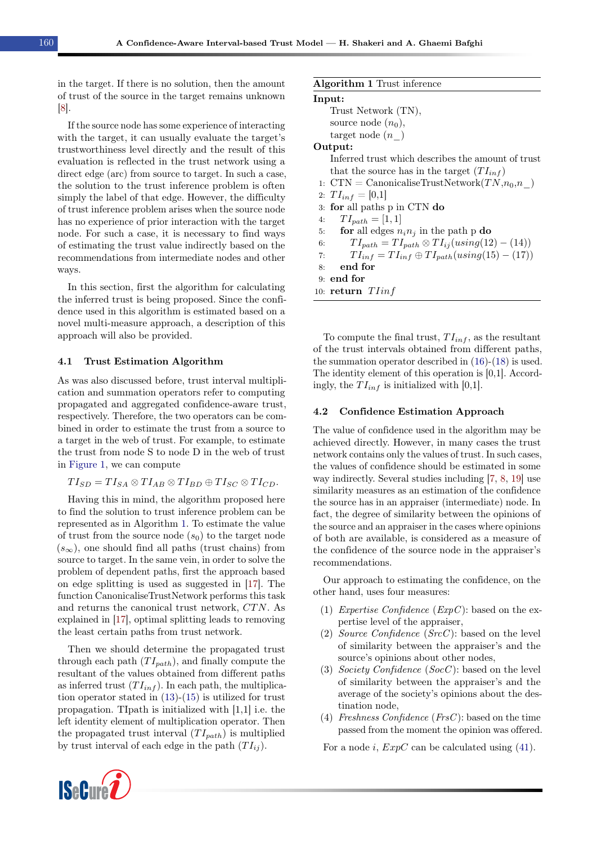in the target. If there is no solution, then the amount of trust of the source in the target remains unknown [\[8\]](#page-13-12).

If the source node has some experience of interacting with the target, it can usually evaluate the target's trustworthiness level directly and the result of this evaluation is reflected in the trust network using a direct edge (arc) from source to target. In such a case, the solution to the trust inference problem is often simply the label of that edge. However, the difficulty of trust inference problem arises when the source node has no experience of prior interaction with the target node. For such a case, it is necessary to find ways of estimating the trust value indirectly based on the recommendations from intermediate nodes and other ways.

In this section, first the algorithm for calculating the inferred trust is being proposed. Since the confidence used in this algorithm is estimated based on a novel multi-measure approach, a description of this approach will also be provided.

#### 4.1 Trust Estimation Algorithm

As was also discussed before, trust interval multiplication and summation operators refer to computing propagated and aggregated confidence-aware trust, respectively. Therefore, the two operators can be combined in order to estimate the trust from a source to a target in the web of trust. For example, to estimate the trust from node S to node D in the web of trust in [Figure 1,](#page-1-0) we can compute

$$
TI_{SD}=TI_{SA}\otimes TI_{AB}\otimes TI_{BD}\oplus TI_{SC}\otimes TI_{CD}.
$$

Having this in mind, the algorithm proposed here to find the solution to trust inference problem can be represented as in Algorithm [1.](#page-9-0) To estimate the value of trust from the source node  $(s_0)$  to the target node  $(s_{\infty})$ , one should find all paths (trust chains) from source to target. In the same vein, in order to solve the problem of dependent paths, first the approach based on edge splitting is used as suggested in [\[17\]](#page-13-7). The function CanonicaliseTrustNetwork performs this task and returns the canonical trust network,  $CTN$ . As explained in [\[17\]](#page-13-7), optimal splitting leads to removing the least certain paths from trust network.

Then we should determine the propagated trust through each path  $(T I_{path})$ , and finally compute the resultant of the values obtained from different paths as inferred trust  $(T I_{inf})$ . In each path, the multiplication operator stated in [\(13\)](#page-4-4)-[\(15\)](#page-4-5) is utilized for trust propagation. TIpath is initialized with [1,1] i.e. the left identity element of multiplication operator. Then the propagated trust interval  $(T I_{path})$  is multiplied by trust interval of each edge in the path  $(T I_{ij})$ .

### Input: Trust Network (TN), source node  $(n_0)$ , target node  $(n_{\text{}})$ Output: Inferred trust which describes the amount of trust that the source has in the target  $(T I_{inf})$ 1:  $CTN =$  CanonicaliseTrustNetwork $(TN, n_0, n_-)$ 2:  $TI_{inf} = [0,1]$ 3: for all paths p in CTN do 4:  $TI_{path} = [1, 1]$ 5: for all edges  $n_i n_j$  in the path p do 6:  $TI_{path} = TI_{path} \otimes TI_{ij}(using(12) - (14))$ 7:  $TI_{inf} = TI_{inf} \oplus TI_{path}(using(15) - (17))$ 8: end for 9: end for

<span id="page-9-0"></span>Algorithm 1 Trust inference

10: return  $T$ *Iinf* 

To compute the final trust,  $TI_{inf}$ , as the resultant of the trust intervals obtained from different paths, the summation operator described in [\(16\)](#page-5-2)-[\(18\)](#page-5-4) is used. The identity element of this operation is [0,1]. Accordingly, the  $TI_{inf}$  is initialized with [0,1].

#### <span id="page-9-1"></span>4.2 Confidence Estimation Approach

The value of confidence used in the algorithm may be achieved directly. However, in many cases the trust network contains only the values of trust. In such cases, the values of confidence should be estimated in some way indirectly. Several studies including [\[7,](#page-12-3) [8,](#page-13-12) [19\]](#page-13-9) use similarity measures as an estimation of the confidence the source has in an appraiser (intermediate) node. In fact, the degree of similarity between the opinions of the source and an appraiser in the cases where opinions of both are available, is considered as a measure of the confidence of the source node in the appraiser's recommendations.

Our approach to estimating the confidence, on the other hand, uses four measures:

- (1) Expertise Confidence  $(ExpC)$ : based on the expertise level of the appraiser,
- (2) Source Confidence  $(SrcC)$ : based on the level of similarity between the appraiser's and the source's opinions about other nodes,
- (3) Society Confidence (SocC): based on the level of similarity between the appraiser's and the average of the society's opinions about the destination node,
- (4) Freshness Confidence (FrsC): based on the time passed from the moment the opinion was offered.

For a node i,  $ExpC$  can be calculated using [\(41\)](#page-10-1).

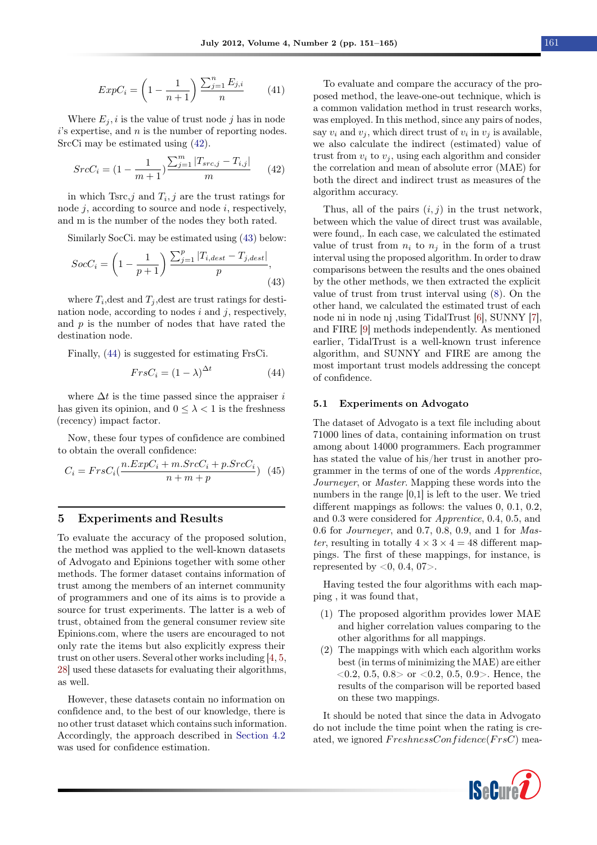<span id="page-10-1"></span>
$$
ExpC_i = \left(1 - \frac{1}{n+1}\right) \frac{\sum_{j=1}^{n} E_{j,i}}{n}
$$
 (41)

Where  $E_i$ , i is the value of trust node j has in node  $i$ 's expertise, and  $n$  is the number of reporting nodes. SrcCi may be estimated using [\(42\)](#page-10-2).

<span id="page-10-2"></span>
$$
SrcC_i = (1 - \frac{1}{m+1}) \frac{\sum_{j=1}^{m} |T_{src,j} - T_{i,j}|}{m}
$$
 (42)

in which  $T_{\text{src},j}$  and  $T_i, j$  are the trust ratings for node  $j$ , according to source and node  $i$ , respectively, and m is the number of the nodes they both rated.

Similarly SocCi. may be estimated using [\(43\)](#page-10-3) below:

<span id="page-10-3"></span>
$$
SocC_i = \left(1 - \frac{1}{p+1}\right) \frac{\sum_{j=1}^{p} |T_{i,dest} - T_{j,dest}|}{p},\tag{43}
$$

where  $T_i$ , dest and  $T_j$ , dest are trust ratings for destination node, according to nodes  $i$  and  $j$ , respectively, and  $p$  is the number of nodes that have rated the destination node.

Finally, [\(44\)](#page-10-4) is suggested for estimating FrsCi.

<span id="page-10-4"></span>
$$
FrsC_i = (1 - \lambda)^{\Delta t} \tag{44}
$$

where  $\Delta t$  is the time passed since the appraiser i has given its opinion, and  $0 \leq \lambda < 1$  is the freshness (recency) impact factor.

Now, these four types of confidence are combined to obtain the overall confidence:

$$
C_i = FrsC_i(\frac{n.ExpC_i + m.SrcC_i + p.SrcC_i}{n+m+p})
$$
(45)

### <span id="page-10-0"></span>5 Experiments and Results

To evaluate the accuracy of the proposed solution, the method was applied to the well-known datasets of Advogato and Epinions together with some other methods. The former dataset contains information of trust among the members of an internet community of programmers and one of its aims is to provide a source for trust experiments. The latter is a web of trust, obtained from the general consumer review site Epinions.com, where the users are encouraged to not only rate the items but also explicitly express their trust on other users. Several other works including [\[4,](#page-12-1) [5,](#page-12-7) [28\]](#page-13-20) used these datasets for evaluating their algorithms, as well.

However, these datasets contain no information on confidence and, to the best of our knowledge, there is no other trust dataset which contains such information. Accordingly, the approach described in [Section 4.2](#page-9-1) was used for confidence estimation.

To evaluate and compare the accuracy of the proposed method, the leave-one-out technique, which is a common validation method in trust research works, was employed. In this method, since any pairs of nodes, say  $v_i$  and  $v_j$ , which direct trust of  $v_i$  in  $v_j$  is available, we also calculate the indirect (estimated) value of trust from  $v_i$  to  $v_j$ , using each algorithm and consider the correlation and mean of absolute error (MAE) for both the direct and indirect trust as measures of the algorithm accuracy.

Thus, all of the pairs  $(i, j)$  in the trust network, between which the value of direct trust was available, were found,. In each case, we calculated the estimated value of trust from  $n_i$  to  $n_j$  in the form of a trust interval using the proposed algorithm. In order to draw comparisons between the results and the ones obained by the other methods, we then extracted the explicit value of trust from trust interval using [\(8\)](#page-4-0). On the other hand, we calculated the estimated trust of each node ni in node nj ,using TidalTrust [\[6\]](#page-12-2), SUNNY [\[7\]](#page-12-3), and FIRE [\[9\]](#page-13-0) methods independently. As mentioned earlier, TidalTrust is a well-known trust inference algorithm, and SUNNY and FIRE are among the most important trust models addressing the concept of confidence.

#### 5.1 Experiments on Advogato

The dataset of Advogato is a text file including about 71000 lines of data, containing information on trust among about 14000 programmers. Each programmer has stated the value of his/her trust in another programmer in the terms of one of the words Apprentice, Journeyer, or Master. Mapping these words into the numbers in the range [0,1] is left to the user. We tried different mappings as follows: the values 0, 0.1, 0.2, and 0.3 were considered for Apprentice, 0.4, 0.5, and 0.6 for Journeyer, and 0.7, 0.8, 0.9, and 1 for Master, resulting in totally  $4 \times 3 \times 4 = 48$  different mappings. The first of these mappings, for instance, is represented by  $< 0, 0.4, 07$ .

Having tested the four algorithms with each mapping , it was found that,

- (1) The proposed algorithm provides lower MAE and higher correlation values comparing to the other algorithms for all mappings.
- (2) The mappings with which each algorithm works best (in terms of minimizing the MAE) are either  $\langle 0.2, 0.5, 0.8 \rangle$  or  $\langle 0.2, 0.5, 0.9 \rangle$ . Hence, the results of the comparison will be reported based on these two mappings.

It should be noted that since the data in Advogato do not include the time point when the rating is created, we ignored  $FreshnessConfidence(FrsC)$  mea-

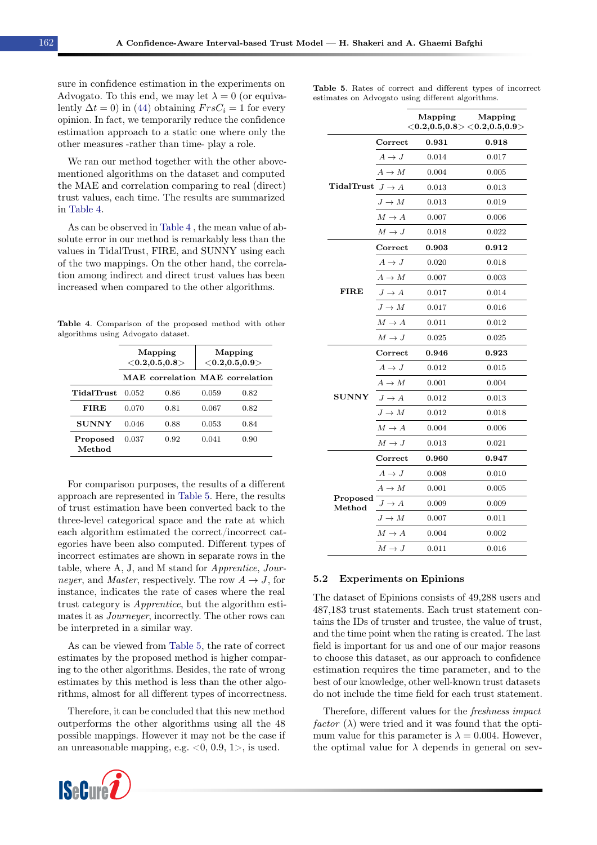sure in confidence estimation in the experiments on Advogato. To this end, we may let  $\lambda = 0$  (or equivalently  $\Delta t = 0$ ) in [\(44\)](#page-10-4) obtaining  $FrsC_i = 1$  for every opinion. In fact, we temporarily reduce the confidence estimation approach to a static one where only the other measures -rather than time- play a role.

We ran our method together with the other abovementioned algorithms on the dataset and computed the MAE and correlation comparing to real (direct) trust values, each time. The results are summarized in [Table 4.](#page-11-0)

As can be observed in [Table 4](#page-11-0) , the mean value of absolute error in our method is remarkably less than the values in TidalTrust, FIRE, and SUNNY using each of the two mappings. On the other hand, the correlation among indirect and direct trust values has been increased when compared to the other algorithms.

<span id="page-11-0"></span>Table 4. Comparison of the proposed method with other algorithms using Advogato dataset.

|                    |       | Mapping<br>${<}0.2,0.5,0.8{>}$  | Mapping<br>${<}0.2{,}0.5{,}0.9{>}$ |      |  |
|--------------------|-------|---------------------------------|------------------------------------|------|--|
|                    |       | MAE correlation MAE correlation |                                    |      |  |
| <b>TidalTrust</b>  | 0.052 | 0.86                            | 0.059                              | 0.82 |  |
| <b>FIRE</b>        | 0.070 | 0.81                            | 0.067                              | 0.82 |  |
| SUNNY              | 0.046 | 0.88                            | 0.053                              | 0.84 |  |
| Proposed<br>Method | 0.037 | 0.92                            | 0.041                              | 0.90 |  |

For comparison purposes, the results of a different approach are represented in [Table 5.](#page-11-1) Here, the results of trust estimation have been converted back to the three-level categorical space and the rate at which each algorithm estimated the correct/incorrect categories have been also computed. Different types of incorrect estimates are shown in separate rows in the table, where A, J, and M stand for Apprentice, Journeyer, and *Master*, respectively. The row  $A \rightarrow J$ , for instance, indicates the rate of cases where the real trust category is Apprentice, but the algorithm estimates it as Journeyer, incorrectly. The other rows can be interpreted in a similar way.

As can be viewed from [Table 5,](#page-11-1) the rate of correct estimates by the proposed method is higher comparing to the other algorithms. Besides, the rate of wrong estimates by this method is less than the other algorithms, almost for all different types of incorrectness.

Therefore, it can be concluded that this new method outperforms the other algorithms using all the 48 possible mappings. However it may not be the case if an unreasonable mapping, e.g.  $< 0$ , 0.9, 1 $>$ , is used.



<span id="page-11-1"></span>

|                                                   |  |  |  |  |  | Table 5. Rates of correct and different types of incorrect |
|---------------------------------------------------|--|--|--|--|--|------------------------------------------------------------|
| estimates on Advogato using different algorithms. |  |  |  |  |  |                                                            |

|                                                                       |                   | Mapping              | Mapping<br>$<$ 0.2,0.5,0.8 $>$ $<$ 0.2,0.5,0.9 $>$ |
|-----------------------------------------------------------------------|-------------------|----------------------|----------------------------------------------------|
|                                                                       | Correct           | 0.931                | 0.918                                              |
|                                                                       | $A \rightarrow J$ | 0.014                | 0.017                                              |
|                                                                       | $A \to M$         | 0.004                | 0.005                                              |
| TidalTrust $J \rightarrow A$                                          |                   | 0.013                | 0.013                                              |
|                                                                       | $J \to M$         | 0.013                | 0.019                                              |
|                                                                       | $M \to A$         | 0.007                | 0.006                                              |
|                                                                       | $M \to J$         | 0.018                | 0.022                                              |
|                                                                       | Correct           | $\boldsymbol{0.903}$ | $\bf{0.912}$                                       |
|                                                                       | $A \rightarrow J$ | 0.020                | 0.018                                              |
|                                                                       | $A \to M$         | 0.007                | 0.003                                              |
| <b>FIRE</b>                                                           | $J \to A$         | 0.017                | 0.014                                              |
|                                                                       | $J \to M$         | 0.017                | 0.016                                              |
|                                                                       | $M \to A$         | 0.011                | 0.012                                              |
|                                                                       | $M \to J$         | 0.025                | 0.025                                              |
|                                                                       | $\rm Correct$     | 0.946                | ${0.923}$                                          |
|                                                                       | $A \rightarrow J$ | 0.012                | 0.015                                              |
|                                                                       | $A \to M$         | 0.001                | 0.004                                              |
| <b>SUNNY</b>                                                          | $J \to A$         | 0.012                | 0.013                                              |
|                                                                       | $J \to M$         | 0.012                | 0.018                                              |
|                                                                       | $M \to A$         | 0.004                | 0.006                                              |
|                                                                       | $M \to J$         | 0.013                | 0.021                                              |
|                                                                       | Correct           | 0.960                | 0.947                                              |
|                                                                       | $A \rightarrow J$ | 0.008                | 0.010                                              |
|                                                                       | $A \to M$         | 0.001                | 0.005                                              |
| Proposed<br>$\operatorname{\mathbf{Met}} \operatorname{\mathbf{hod}}$ | $J\to A$          | 0.009                | 0.009                                              |
|                                                                       | $J \to M$         | 0.007                | 0.011                                              |
|                                                                       | $M \to A$         | 0.004                | 0.002                                              |
|                                                                       | $M \to J$         | 0.011                | 0.016                                              |

#### 5.2 Experiments on Epinions

The dataset of Epinions consists of 49,288 users and 487,183 trust statements. Each trust statement contains the IDs of truster and trustee, the value of trust, and the time point when the rating is created. The last field is important for us and one of our major reasons to choose this dataset, as our approach to confidence estimation requires the time parameter, and to the best of our knowledge, other well-known trust datasets do not include the time field for each trust statement.

Therefore, different values for the freshness impact factor  $(\lambda)$  were tried and it was found that the optimum value for this parameter is  $\lambda = 0.004$ . However, the optimal value for  $\lambda$  depends in general on sev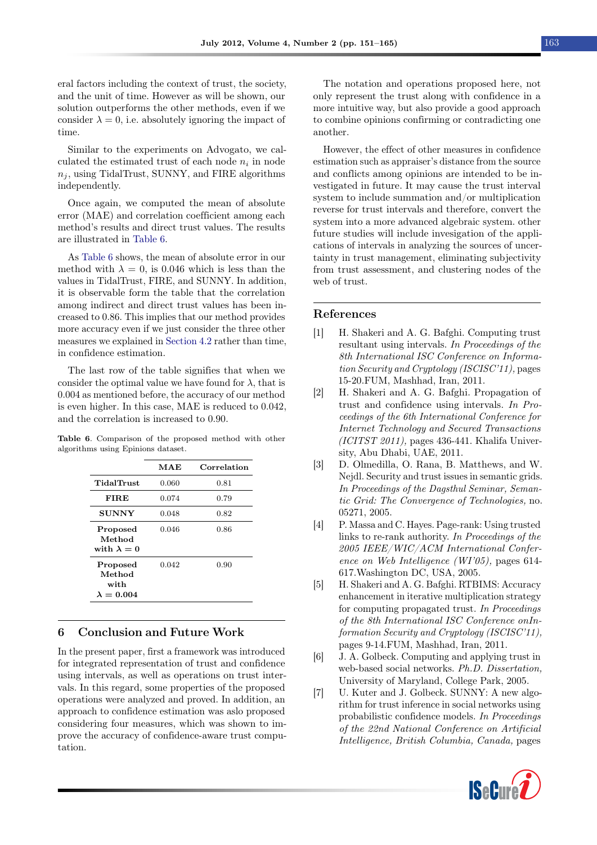eral factors including the context of trust, the society, and the unit of time. However as will be shown, our solution outperforms the other methods, even if we consider  $\lambda = 0$ , i.e. absolutely ignoring the impact of time.

Similar to the experiments on Advogato, we calculated the estimated trust of each node  $n_i$  in node  $n_i$ , using TidalTrust, SUNNY, and FIRE algorithms independently.

Once again, we computed the mean of absolute error (MAE) and correlation coefficient among each method's results and direct trust values. The results are illustrated in [Table 6.](#page-12-8)

As [Table 6](#page-12-8) shows, the mean of absolute error in our method with  $\lambda = 0$ , is 0.046 which is less than the values in TidalTrust, FIRE, and SUNNY. In addition, it is observable form the table that the correlation among indirect and direct trust values has been increased to 0.86. This implies that our method provides more accuracy even if we just consider the three other measures we explained in [Section 4.2](#page-9-1) rather than time, in confidence estimation.

The last row of the table signifies that when we consider the optimal value we have found for  $\lambda$ , that is 0.004 as mentioned before, the accuracy of our method is even higher. In this case, MAE is reduced to 0.042, and the correlation is increased to 0.90.

<span id="page-12-8"></span>Table 6. Comparison of the proposed method with other algorithms using Epinions dataset.

|                                                 | MAE   | Correlation |
|-------------------------------------------------|-------|-------------|
| TidalTrust                                      | 0.060 | 0.81        |
| <b>FIRE</b>                                     | 0.074 | 0.79        |
| <b>SUNNY</b>                                    | 0.048 | 0.82        |
| Proposed<br>Method<br>with $\lambda = 0$        | 0.046 | 0.86        |
| Proposed<br>Method<br>with<br>$\lambda = 0.004$ | 0.042 | 0.90        |

### <span id="page-12-6"></span>6 Conclusion and Future Work

In the present paper, first a framework was introduced for integrated representation of trust and confidence using intervals, as well as operations on trust intervals. In this regard, some properties of the proposed operations were analyzed and proved. In addition, an approach to confidence estimation was aslo proposed considering four measures, which was shown to improve the accuracy of confidence-aware trust computation.

The notation and operations proposed here, not only represent the trust along with confidence in a more intuitive way, but also provide a good approach to combine opinions confirming or contradicting one another.

However, the effect of other measures in confidence estimation such as appraiser's distance from the source and conflicts among opinions are intended to be investigated in future. It may cause the trust interval system to include summation and/or multiplication reverse for trust intervals and therefore, convert the system into a more advanced algebraic system. other future studies will include invesigation of the applications of intervals in analyzing the sources of uncertainty in trust management, eliminating subjectivity from trust assessment, and clustering nodes of the web of trust.

#### References

- <span id="page-12-4"></span>[1] H. Shakeri and A. G. Bafghi. Computing trust resultant using intervals. In Proceedings of the 8th International ISC Conference on Information Security and Cryptology (ISCISC'11), pages 15-20.FUM, Mashhad, Iran, 2011.
- <span id="page-12-5"></span>[2] H. Shakeri and A. G. Bafghi. Propagation of trust and confidence using intervals. In Proceedings of the 6th International Conference for Internet Technology and Secured Transactions (ICITST 2011), pages 436-441. Khalifa University, Abu Dhabi, UAE, 2011.
- <span id="page-12-0"></span>[3] D. Olmedilla, O. Rana, B. Matthews, and W. Nejdl. Security and trust issues in semantic grids. In Proceedings of the Dagsthul Seminar, Semantic Grid: The Convergence of Technologies, no. 05271, 2005.
- <span id="page-12-1"></span>[4] P. Massa and C. Hayes. Page-rank: Using trusted links to re-rank authority. In Proceedings of the 2005 IEEE/WIC/ACM International Conference on Web Intelligence (WI'05), pages 614- 617.Washington DC, USA, 2005.
- <span id="page-12-7"></span>[5] H. Shakeri and A. G. Bafghi. RTBIMS: Accuracy enhancement in iterative multiplication strategy for computing propagated trust. In Proceedings of the 8th International ISC Conference onInformation Security and Cryptology (ISCISC'11), pages 9-14.FUM, Mashhad, Iran, 2011.
- <span id="page-12-2"></span>[6] J. A. Golbeck. Computing and applying trust in web-based social networks. Ph.D. Dissertation, University of Maryland, College Park, 2005.
- <span id="page-12-3"></span>[7] U. Kuter and J. Golbeck. SUNNY: A new algorithm for trust inference in social networks using probabilistic confidence models. In Proceedings of the 22nd National Conference on Artificial Intelligence, British Columbia, Canada, pages

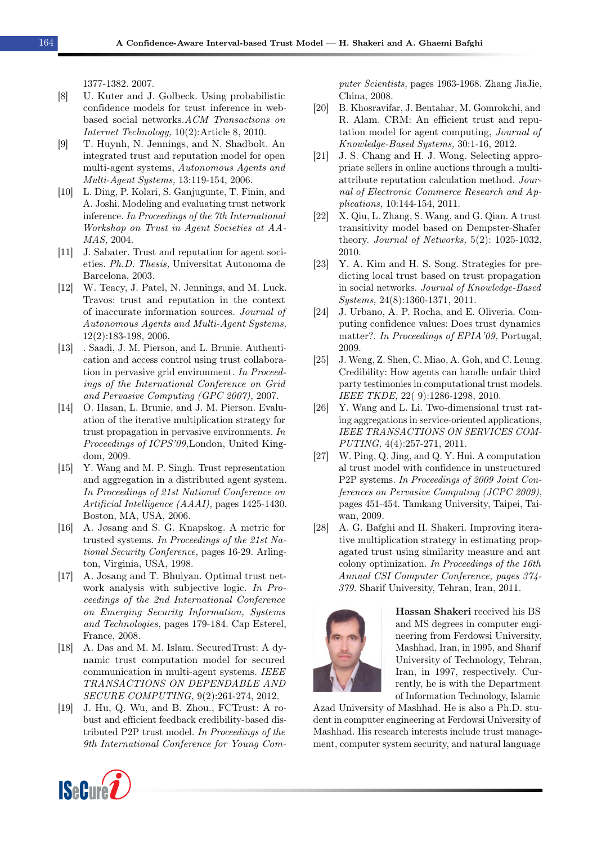1377-1382. 2007.

- <span id="page-13-12"></span>[8] U. Kuter and J. Golbeck. Using probabilistic confidence models for trust inference in webbased social networks.ACM Transactions on Internet Technology, 10(2):Article 8, 2010.
- <span id="page-13-0"></span>[9] T. Huynh, N. Jennings, and N. Shadbolt. An integrated trust and reputation model for open multi-agent systems, Autonomous Agents and Multi-Agent Systems, 13:119-154, 2006.
- <span id="page-13-1"></span>[10] L. Ding, P. Kolari, S. Ganjugunte, T. Finin, and A. Joshi. Modeling and evaluating trust network inference. In Proceedings of the 7th International Workshop on Trust in Agent Societies at AA-MAS, 2004.
- <span id="page-13-2"></span>[11] J. Sabater. Trust and reputation for agent societies. Ph.D. Thesis, Universitat Autonoma de Barcelona, 2003.
- <span id="page-13-3"></span>[12] W. Teacy, J. Patel, N. Jennings, and M. Luck. Travos: trust and reputation in the context of inaccurate information sources. Journal of Autonomous Agents and Multi-Agent Systems, 12(2):183-198, 2006.
- <span id="page-13-4"></span>[13] . Saadi, J. M. Pierson, and L. Brunie. Authentication and access control using trust collaboration in pervasive grid environment. In Proceedings of the International Conference on Grid and Pervasive Computing (GPC 2007), 2007.
- <span id="page-13-5"></span>[14] O. Hasan, L. Brunie, and J. M. Pierson. Evaluation of the iterative multiplication strategy for trust propagation in pervasive environments. In Proceedings of ICPS'09,London, United Kingdom, 2009.
- <span id="page-13-6"></span>[15] Y. Wang and M. P. Singh. Trust representation and aggregation in a distributed agent system. In Proceedings of 21st National Conference on Artificial Intelligence (AAAI), pages 1425-1430. Boston, MA, USA, 2006.
- <span id="page-13-13"></span>[16] A. Jøsang and S. G. Knapskog. A metric for trusted systems. In Proceedings of the 21st National Security Conference, pages 16-29. Arlington, Virginia, USA, 1998.
- <span id="page-13-7"></span>[17] A. Josang and T. Bhuiyan. Optimal trust network analysis with subjective logic. In Proceedings of the 2nd International Conference on Emerging Security Information, Systems and Technologies, pages 179-184. Cap Esterel, France, 2008.
- <span id="page-13-8"></span>[18] A. Das and M. M. Islam. SecuredTrust: A dynamic trust computation model for secured communication in multi-agent systems. IEEE TRANSACTIONS ON DEPENDABLE AND SECURE COMPUTING, 9(2):261-274, 2012.
- <span id="page-13-9"></span>[19] J. Hu, Q. Wu, and B. Zhou., FCTrust: A robust and efficient feedback credibility-based distributed P2P trust model. In Proceedings of the 9th International Conference for Young Com-

puter Scientists, pages 1963-1968. Zhang JiaJie, China, 2008.

- <span id="page-13-10"></span>[20] B. Khosravifar, J. Bentahar, M. Gomrokchi, and R. Alam. CRM: An efficient trust and reputation model for agent computing, Journal of Knowledge-Based Systems, 30:1-16, 2012.
- <span id="page-13-11"></span>[21] J. S. Chang and H. J. Wong. Selecting appropriate sellers in online auctions through a multiattribute reputation calculation method. Journal of Electronic Commerce Research and Applications, 10:144-154, 2011.
- <span id="page-13-14"></span>[22] X. Qiu, L. Zhang, S. Wang, and G. Qian. A trust transitivity model based on Dempster-Shafer theory. Journal of Networks, 5(2): 1025-1032, 2010.
- <span id="page-13-15"></span>[23] Y. A. Kim and H. S. Song. Strategies for predicting local trust based on trust propagation in social networks. Journal of Knowledge-Based Systems, 24(8):1360-1371, 2011.
- <span id="page-13-16"></span>[24] J. Urbano, A. P. Rocha, and E. Oliveria. Computing confidence values: Does trust dynamics matter?. In Proceedings of EPIA'09, Portugal, 2009.
- <span id="page-13-17"></span>[25] J. Weng, Z. Shen, C. Miao, A. Goh, and C. Leung. Credibility: How agents can handle unfair third party testimonies in computational trust models. IEEE TKDE, 22( 9):1286-1298, 2010.
- <span id="page-13-18"></span>[26] Y. Wang and L. Li. Two-dimensional trust rating aggregations in service-oriented applications, IEEE TRANSACTIONS ON SERVICES COM-PUTING, 4(4):257-271, 2011.
- <span id="page-13-19"></span>[27] W. Ping, Q. Jing, and Q. Y. Hui. A computation al trust model with confidence in unstructured P2P systems. In Proceedings of 2009 Joint Conferences on Pervasive Computing (JCPC 2009), pages 451-454. Tamkang University, Taipei, Taiwan, 2009.
- <span id="page-13-20"></span>[28] A. G. Bafghi and H. Shakeri. Improving iterative multiplication strategy in estimating propagated trust using similarity measure and ant colony optimization. In Proceedings of the 16th Annual CSI Computer Conference, pages 374- 379. Sharif University, Tehran, Iran, 2011.



Hassan Shakeri received his BS and MS degrees in computer engineering from Ferdowsi University, Mashhad, Iran, in 1995, and Sharif University of Technology, Tehran, Iran, in 1997, respectively. Currently, he is with the Department of Information Technology, Islamic

Azad University of Mashhad. He is also a Ph.D. student in computer engineering at Ferdowsi University of Mashhad. His research interests include trust management, computer system security, and natural language